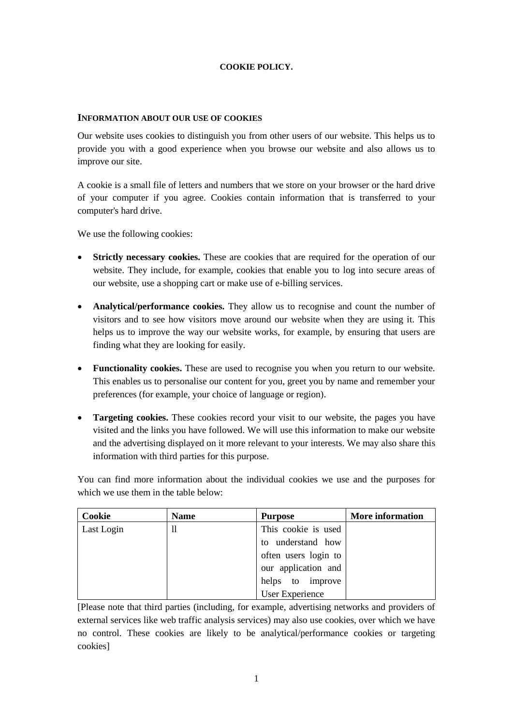## **COOKIE POLICY.**

## **INFORMATION ABOUT OUR USE OF COOKIES**

Our website uses cookies to distinguish you from other users of our website. This helps us to provide you with a good experience when you browse our website and also allows us to improve our site.

A cookie is a small file of letters and numbers that we store on your browser or the hard drive of your computer if you agree. Cookies contain information that is transferred to your computer's hard drive.

We use the following cookies:

- **Strictly necessary cookies.** These are cookies that are required for the operation of our website. They include, for example, cookies that enable you to log into secure areas of our website, use a shopping cart or make use of e-billing services.
- **Analytical/performance cookies.** They allow us to recognise and count the number of visitors and to see how visitors move around our website when they are using it. This helps us to improve the way our website works, for example, by ensuring that users are finding what they are looking for easily.
- **Functionality cookies.** These are used to recognise you when you return to our website. This enables us to personalise our content for you, greet you by name and remember your preferences (for example, your choice of language or region).
- **Targeting cookies.** These cookies record your visit to our website, the pages you have visited and the links you have followed. We will use this information to make our website and the advertising displayed on it more relevant to your interests. We may also share this information with third parties for this purpose.

You can find more information about the individual cookies we use and the purposes for which we use them in the table below:

| Cookie     | <b>Name</b> | <b>Purpose</b>       | <b>More information</b> |
|------------|-------------|----------------------|-------------------------|
| Last Login | 11          | This cookie is used  |                         |
|            |             | to understand how    |                         |
|            |             | often users login to |                         |
|            |             | our application and  |                         |
|            |             | to improve<br>helps  |                         |
|            |             | User Experience      |                         |

[Please note that third parties (including, for example, advertising networks and providers of external services like web traffic analysis services) may also use cookies, over which we have no control. These cookies are likely to be analytical/performance cookies or targeting cookies]